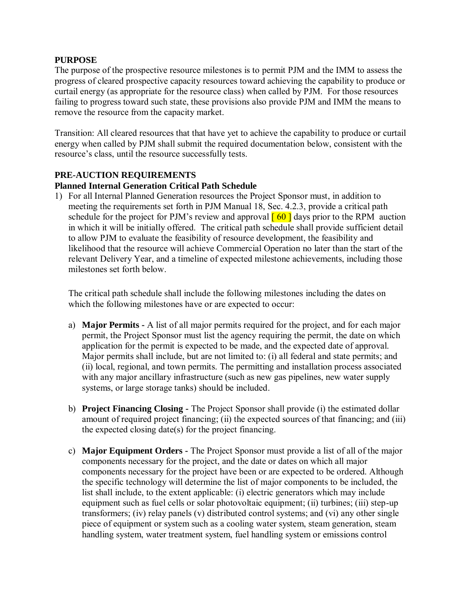#### **PURPOSE**

The purpose of the prospective resource milestones is to permit PJM and the IMM to assess the progress of cleared prospective capacity resources toward achieving the capability to produce or curtail energy (as appropriate for the resource class) when called by PJM. For those resources failing to progress toward such state, these provisions also provide PJM and IMM the means to remove the resource from the capacity market.

Transition: All cleared resources that that have yet to achieve the capability to produce or curtail energy when called by PJM shall submit the required documentation below, consistent with the resource's class, until the resource successfully tests.

# **PRE-AUCTION REQUIREMENTS**

# **Planned Internal Generation Critical Path Schedule**

1) For all Internal Planned Generation resources the Project Sponsor must, in addition to meeting the requirements set forth in PJM Manual 18, Sec. 4.2.3, provide a critical path schedule for the project for PJM's review and approval  $\lceil 60 \rceil$  days prior to the RPM auction in which it will be initially offered. The critical path schedule shall provide sufficient detail to allow PJM to evaluate the feasibility of resource development, the feasibility and likelihood that the resource will achieve Commercial Operation no later than the start of the relevant Delivery Year, and a timeline of expected milestone achievements, including those milestones set forth below.

The critical path schedule shall include the following milestones including the dates on which the following milestones have or are expected to occur:

- a) **Major Permits -** A list of all major permits required for the project, and for each major permit, the Project Sponsor must list the agency requiring the permit, the date on which application for the permit is expected to be made, and the expected date of approval. Major permits shall include, but are not limited to: (i) all federal and state permits; and (ii) local, regional, and town permits. The permitting and installation process associated with any major ancillary infrastructure (such as new gas pipelines, new water supply systems, or large storage tanks) should be included.
- b) **Project Financing Closing -** The Project Sponsor shall provide (i) the estimated dollar amount of required project financing; (ii) the expected sources of that financing; and (iii) the expected closing date(s) for the project financing.
- c) **Major Equipment Orders -** The Project Sponsor must provide a list of all of the major components necessary for the project, and the date or dates on which all major components necessary for the project have been or are expected to be ordered. Although the specific technology will determine the list of major components to be included, the list shall include, to the extent applicable: (i) electric generators which may include equipment such as fuel cells or solar photovoltaic equipment; (ii) turbines; (iii) step-up transformers; (iv) relay panels (v) distributed control systems; and (vi) any other single piece of equipment or system such as a cooling water system, steam generation, steam handling system, water treatment system, fuel handling system or emissions control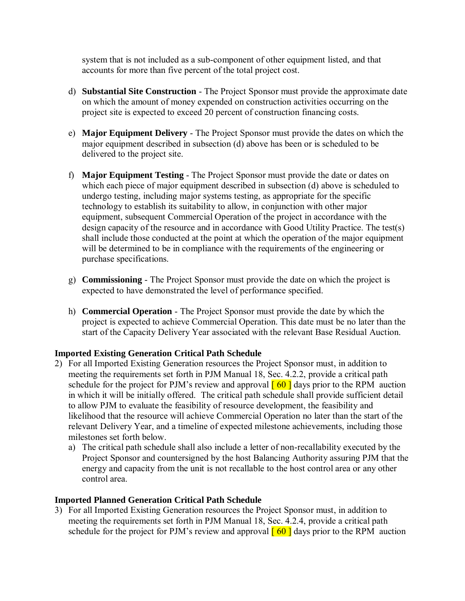system that is not included as a sub-component of other equipment listed, and that accounts for more than five percent of the total project cost.

- d) **Substantial Site Construction** The Project Sponsor must provide the approximate date on which the amount of money expended on construction activities occurring on the project site is expected to exceed 20 percent of construction financing costs.
- e) **Major Equipment Delivery** The Project Sponsor must provide the dates on which the major equipment described in subsection (d) above has been or is scheduled to be delivered to the project site.
- f) **Major Equipment Testing** The Project Sponsor must provide the date or dates on which each piece of major equipment described in subsection (d) above is scheduled to undergo testing, including major systems testing, as appropriate for the specific technology to establish its suitability to allow, in conjunction with other major equipment, subsequent Commercial Operation of the project in accordance with the design capacity of the resource and in accordance with Good Utility Practice. The test(s) shall include those conducted at the point at which the operation of the major equipment will be determined to be in compliance with the requirements of the engineering or purchase specifications.
- g) **Commissioning** The Project Sponsor must provide the date on which the project is expected to have demonstrated the level of performance specified.
- h) **Commercial Operation** The Project Sponsor must provide the date by which the project is expected to achieve Commercial Operation. This date must be no later than the start of the Capacity Delivery Year associated with the relevant Base Residual Auction.

# **Imported Existing Generation Critical Path Schedule**

- 2) For all Imported Existing Generation resources the Project Sponsor must, in addition to meeting the requirements set forth in PJM Manual 18, Sec. 4.2.2, provide a critical path schedule for the project for PJM's review and approval  $\begin{bmatrix} 60 \\ 0 \end{bmatrix}$  days prior to the RPM auction in which it will be initially offered. The critical path schedule shall provide sufficient detail to allow PJM to evaluate the feasibility of resource development, the feasibility and likelihood that the resource will achieve Commercial Operation no later than the start of the relevant Delivery Year, and a timeline of expected milestone achievements, including those milestones set forth below.
	- a) The critical path schedule shall also include a letter of non-recallability executed by the Project Sponsor and countersigned by the host Balancing Authority assuring PJM that the energy and capacity from the unit is not recallable to the host control area or any other control area.

# **Imported Planned Generation Critical Path Schedule**

3) For all Imported Existing Generation resources the Project Sponsor must, in addition to meeting the requirements set forth in PJM Manual 18, Sec. 4.2.4, provide a critical path schedule for the project for PJM's review and approval  $\lceil 60 \rceil$  days prior to the RPM auction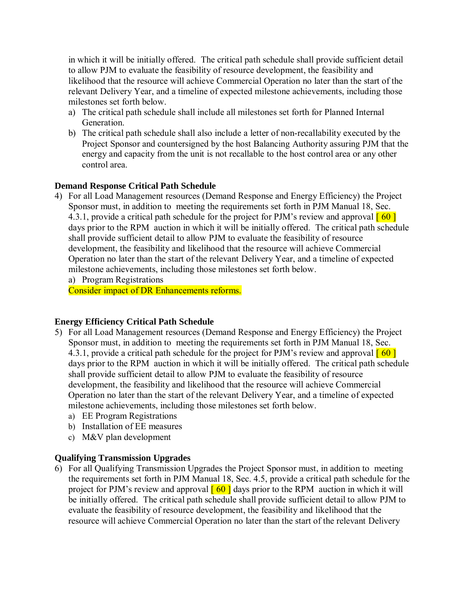in which it will be initially offered. The critical path schedule shall provide sufficient detail to allow PJM to evaluate the feasibility of resource development, the feasibility and likelihood that the resource will achieve Commercial Operation no later than the start of the relevant Delivery Year, and a timeline of expected milestone achievements, including those milestones set forth below.

- a) The critical path schedule shall include all milestones set forth for Planned Internal **Generation**
- b) The critical path schedule shall also include a letter of non-recallability executed by the Project Sponsor and countersigned by the host Balancing Authority assuring PJM that the energy and capacity from the unit is not recallable to the host control area or any other control area.

# **Demand Response Critical Path Schedule**

4) For all Load Management resources (Demand Response and Energy Efficiency) the Project Sponsor must, in addition to meeting the requirements set forth in PJM Manual 18, Sec. 4.3.1, provide a critical path schedule for the project for PJM's review and approval  $\lceil 60 \rceil$ days prior to the RPM auction in which it will be initially offered. The critical path schedule shall provide sufficient detail to allow PJM to evaluate the feasibility of resource development, the feasibility and likelihood that the resource will achieve Commercial Operation no later than the start of the relevant Delivery Year, and a timeline of expected milestone achievements, including those milestones set forth below.

a) Program Registrations

Consider impact of DR Enhancements reforms.

# **Energy Efficiency Critical Path Schedule**

- 5) For all Load Management resources (Demand Response and Energy Efficiency) the Project Sponsor must, in addition to meeting the requirements set forth in PJM Manual 18, Sec. 4.3.1, provide a critical path schedule for the project for PJM's review and approval  $\lceil 60 \rceil$ days prior to the RPM auction in which it will be initially offered. The critical path schedule shall provide sufficient detail to allow PJM to evaluate the feasibility of resource development, the feasibility and likelihood that the resource will achieve Commercial Operation no later than the start of the relevant Delivery Year, and a timeline of expected milestone achievements, including those milestones set forth below.
	- a) EE Program Registrations
	- b) Installation of EE measures
	- c) M&V plan development

# **Qualifying Transmission Upgrades**

6) For all Qualifying Transmission Upgrades the Project Sponsor must, in addition to meeting the requirements set forth in PJM Manual 18, Sec. 4.5, provide a critical path schedule for the project for PJM's review and approval  $\lceil 60 \rceil$  days prior to the RPM auction in which it will be initially offered. The critical path schedule shall provide sufficient detail to allow PJM to evaluate the feasibility of resource development, the feasibility and likelihood that the resource will achieve Commercial Operation no later than the start of the relevant Delivery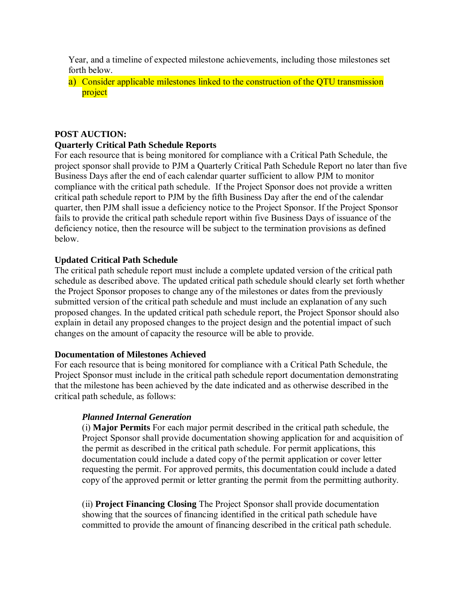Year, and a timeline of expected milestone achievements, including those milestones set forth below.

a) Consider applicable milestones linked to the construction of the QTU transmission project

#### **POST AUCTION:**

#### **Quarterly Critical Path Schedule Reports**

For each resource that is being monitored for compliance with a Critical Path Schedule, the project sponsor shall provide to PJM a Quarterly Critical Path Schedule Report no later than five Business Days after the end of each calendar quarter sufficient to allow PJM to monitor compliance with the critical path schedule. If the Project Sponsor does not provide a written critical path schedule report to PJM by the fifth Business Day after the end of the calendar quarter, then PJM shall issue a deficiency notice to the Project Sponsor. If the Project Sponsor fails to provide the critical path schedule report within five Business Days of issuance of the deficiency notice, then the resource will be subject to the termination provisions as defined below.

#### **Updated Critical Path Schedule**

The critical path schedule report must include a complete updated version of the critical path schedule as described above. The updated critical path schedule should clearly set forth whether the Project Sponsor proposes to change any of the milestones or dates from the previously submitted version of the critical path schedule and must include an explanation of any such proposed changes. In the updated critical path schedule report, the Project Sponsor should also explain in detail any proposed changes to the project design and the potential impact of such changes on the amount of capacity the resource will be able to provide.

#### **Documentation of Milestones Achieved**

For each resource that is being monitored for compliance with a Critical Path Schedule, the Project Sponsor must include in the critical path schedule report documentation demonstrating that the milestone has been achieved by the date indicated and as otherwise described in the critical path schedule, as follows:

# *Planned Internal Generation*

(i) **Major Permits** For each major permit described in the critical path schedule, the Project Sponsor shall provide documentation showing application for and acquisition of the permit as described in the critical path schedule. For permit applications, this documentation could include a dated copy of the permit application or cover letter requesting the permit. For approved permits, this documentation could include a dated copy of the approved permit or letter granting the permit from the permitting authority.

(ii) **Project Financing Closing** The Project Sponsor shall provide documentation showing that the sources of financing identified in the critical path schedule have committed to provide the amount of financing described in the critical path schedule.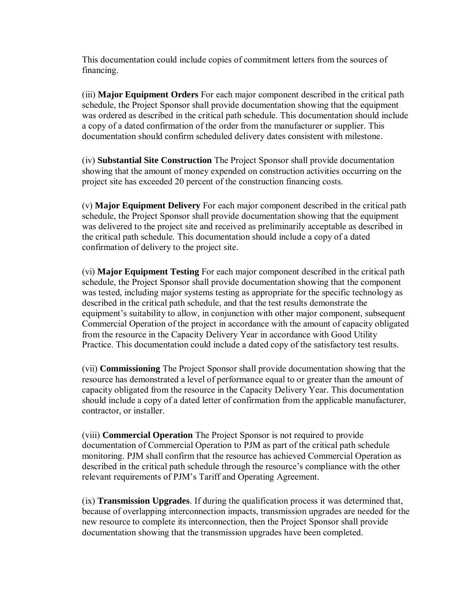This documentation could include copies of commitment letters from the sources of financing.

(iii) **Major Equipment Orders** For each major component described in the critical path schedule, the Project Sponsor shall provide documentation showing that the equipment was ordered as described in the critical path schedule. This documentation should include a copy of a dated confirmation of the order from the manufacturer or supplier. This documentation should confirm scheduled delivery dates consistent with milestone.

(iv) **Substantial Site Construction** The Project Sponsor shall provide documentation showing that the amount of money expended on construction activities occurring on the project site has exceeded 20 percent of the construction financing costs.

(v) **Major Equipment Delivery** For each major component described in the critical path schedule, the Project Sponsor shall provide documentation showing that the equipment was delivered to the project site and received as preliminarily acceptable as described in the critical path schedule. This documentation should include a copy of a dated confirmation of delivery to the project site.

(vi) **Major Equipment Testing** For each major component described in the critical path schedule, the Project Sponsor shall provide documentation showing that the component was tested, including major systems testing as appropriate for the specific technology as described in the critical path schedule, and that the test results demonstrate the equipment's suitability to allow, in conjunction with other major component, subsequent Commercial Operation of the project in accordance with the amount of capacity obligated from the resource in the Capacity Delivery Year in accordance with Good Utility Practice. This documentation could include a dated copy of the satisfactory test results.

(vii) **Commissioning** The Project Sponsor shall provide documentation showing that the resource has demonstrated a level of performance equal to or greater than the amount of capacity obligated from the resource in the Capacity Delivery Year. This documentation should include a copy of a dated letter of confirmation from the applicable manufacturer, contractor, or installer.

(viii) **Commercial Operation** The Project Sponsor is not required to provide documentation of Commercial Operation to PJM as part of the critical path schedule monitoring. PJM shall confirm that the resource has achieved Commercial Operation as described in the critical path schedule through the resource's compliance with the other relevant requirements of PJM's Tariff and Operating Agreement.

(ix) **Transmission Upgrades**. If during the qualification process it was determined that, because of overlapping interconnection impacts, transmission upgrades are needed for the new resource to complete its interconnection, then the Project Sponsor shall provide documentation showing that the transmission upgrades have been completed.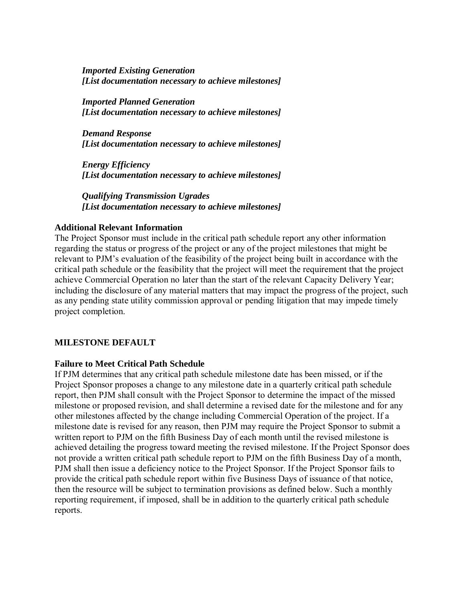*Imported Existing Generation [List documentation necessary to achieve milestones]* 

*Imported Planned Generation [List documentation necessary to achieve milestones]* 

*Demand Response [List documentation necessary to achieve milestones]* 

*Energy Efficiency [List documentation necessary to achieve milestones]* 

*Qualifying Transmission Ugrades [List documentation necessary to achieve milestones]*

#### **Additional Relevant Information**

The Project Sponsor must include in the critical path schedule report any other information regarding the status or progress of the project or any of the project milestones that might be relevant to PJM's evaluation of the feasibility of the project being built in accordance with the critical path schedule or the feasibility that the project will meet the requirement that the project achieve Commercial Operation no later than the start of the relevant Capacity Delivery Year; including the disclosure of any material matters that may impact the progress of the project, such as any pending state utility commission approval or pending litigation that may impede timely project completion.

# **MILESTONE DEFAULT**

#### **Failure to Meet Critical Path Schedule**

If PJM determines that any critical path schedule milestone date has been missed, or if the Project Sponsor proposes a change to any milestone date in a quarterly critical path schedule report, then PJM shall consult with the Project Sponsor to determine the impact of the missed milestone or proposed revision, and shall determine a revised date for the milestone and for any other milestones affected by the change including Commercial Operation of the project. If a milestone date is revised for any reason, then PJM may require the Project Sponsor to submit a written report to PJM on the fifth Business Day of each month until the revised milestone is achieved detailing the progress toward meeting the revised milestone. If the Project Sponsor does not provide a written critical path schedule report to PJM on the fifth Business Day of a month, PJM shall then issue a deficiency notice to the Project Sponsor. If the Project Sponsor fails to provide the critical path schedule report within five Business Days of issuance of that notice, then the resource will be subject to termination provisions as defined below. Such a monthly reporting requirement, if imposed, shall be in addition to the quarterly critical path schedule reports.